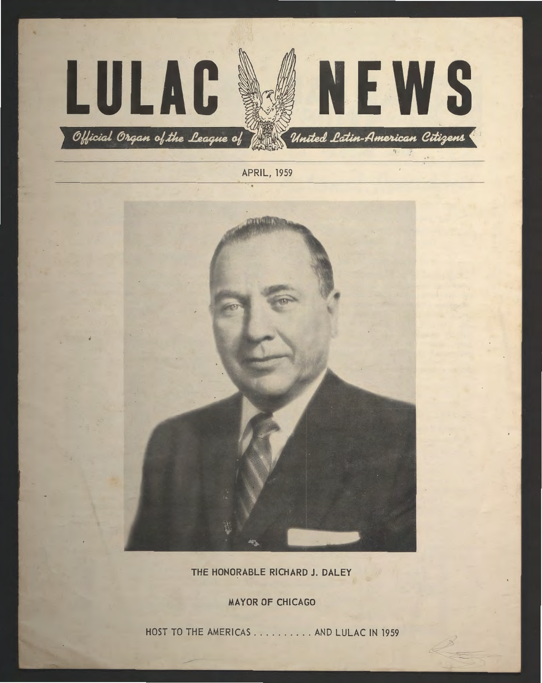



**THE HONORABLE RICHARD J. DALEY** 

**MAYOR OF CHICAGO** 

HOST TO THE AMERICAS .......... AND LULAC IN 1959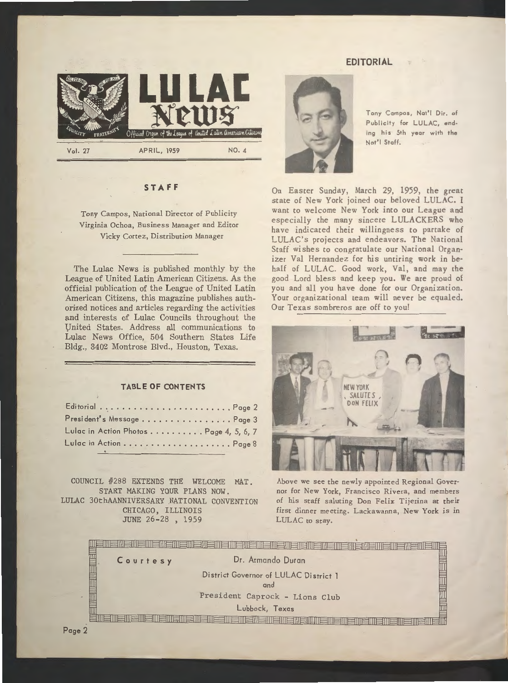## **EDITORIAL**



## **ST AF F**

Tony Campos, National Director of Publicity Virginia Ochoa, Business Manager and Editor Vicky Cortez, Distribution Manager

The Lulac News is published monthly by the League of United Latin American Citizens. As the official publication of the League of United Latin American Citizens, this magazine publishes authorized notices and articles regarding the activities and interests of Lulac Councils throughout the Vnited States. Address all communications to Lulac News Office, 504 Southern States Life Bldg., 3402 Montrose Blvd., Houston, Texas.

#### **TABLE OF CONTENTS**

| President's MessagePage 3              |
|----------------------------------------|
| Lulac in Action Photos Page 4, 5, 6, 7 |
|                                        |

COUNCIL #288 EXTENDS THE WELCOME MAT. START MAKING YOUR PLANS NOW. LULAC 30thAANNIVERSARY .NATIONAL CONVENTION CHICAGO, ILLINOIS JUNE 26-28 , 1959



Tony Campas, Not'I Dir. of Publicity for LULAC, ending his 5th year with the Nat'I Staff.

On Easter Sunday, March 29, 1959, the great state of New York joined our beloved LULAC. I want co welcome New York into our League and especially the many sincere LULACKERS who have indicated their willingness co partake of LULAC's projects and endeavors. The National Staff wishes to congratulate our National Organizer Val Hernandez for his untiring work in behalf of LULAC. Good work, Val, and may the good Lord bless and keep you. We are proud of you and all you have done for our Organization. Your organizational team will never be equaled. Our Texas sombreros are off to you!



Above we see the newly appointed Regional Governor for New York, Francisco Rivera, and members of his staff saluting Don Felix Tijerina at their first dinner meeting. Lackawanna, New York is in LULAC to stay.

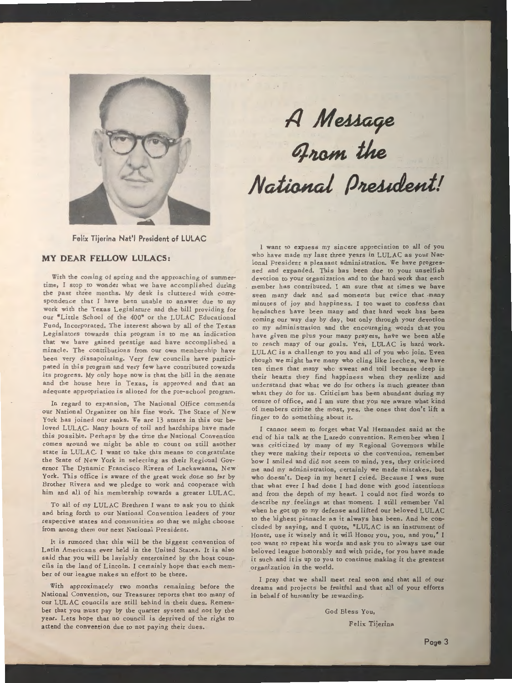

# **1/M~ ~IUJ.m** *tke*   $National$  **President!**

**Felix Tijerina Nat'I President of LULAC** 

#### **MY DEAR FELLOW LULACS:**

With the coming of spring and the approaching of summertime, I stop to wonder what we have accomplished during the past three months. My desk is cluttered with correspondence that I have been unable to answer due to my work with the Texas Legislature and the bill providing for our "Little School of the 400" or the LULAC Educational Fund, Incorporated. The interest shown by all of the Texas Legislators cowards chis program is to me an indication chat we have gained prestige and have accomplished a miracle. The contributions from our own membership have been very dissapointing. Very few councils have participated in this program and very few have contributed towards its progress. My only hope now is that the bill in the senate and the house here in Texas, is approved and that an adequate appropriation is alloted for the pre-school program.

In regard to expansion, The National Office commends our National Organizer on his fine work. The State of New York has joined our ranks. We are 13 states in this our beloved LULAC. Many hours of toil and hardships have made this possible. Perhaps by the time the National Convention comes around we might be able to count on still another state in LULAC. I want to take this means to congratulate the State of New York in selecting as their Regional Governor The Dynamic Francisco Rivera of Lackawanna, New York. This office is aware of the great work done so far by Brother Rivera and we pledge to work and cooperate with him and all of his membership towards a greater LULAC.

To all of my LULAC Brethren I want to ask you to think and bring forth to our National Convention leaders of your respective states and communities so that we might choose from among them our next National President.

It is rumored that this will be the biggest convention of Latin Americans ever held in the United States. It is also said that you will be lavishly entertained by the host councils in the land of Lincoln. I certainly hope that each member of our league makes an effort to be there.

With approximately two months remaining before the National Convention, our Treasurer reports that too many of our LULAC councils are still behind in their dues. Remember that you must pay by the quarter system and not by the year. Lets hope that no council is deprived of the right to attend the convention due to not paying their dues.

I want co express my sincere appreciation to all of you who have made my last three years in LULAC as your National President a pleasant administration. We have progressed and expanded. This has been due to your unselfish devotion to your organization and co the hard work that each member has contributed. I am sure that at times we have seen many dark and sad moments but twice that many minutes of joy and happiness. I too want to confess that headaches have been many and that hard work has been coming our way day by day, but only through your devotion co my administration and the encouraging words that you have given me plus your many prayers, have we been able to reach many of our goals. Yes, LULAC is hard work. LUL AC is a challenge to you and all of you who join. Even though we might have many who cling like leeches, we have ten times that many who sweat and toil because deep in their hearts they find happiness when they realize and understand that what we do for others is much greater than what they do for us. Criticism has been abundant during my tenure of office, and I am sure that yoµ are aware what kind of members critize the most, yes, the ones that don't lift a finger to do something about it.

I cannot seem to forget what Val Hernandez said at the end of his talk at the Laredo convention. Remember when I was criticized by many of my Regional Governors while they were making their reports to the convention, remember how I smiled and did not seem to mind, yes, they criticized me and my administration, certainly we made mistakes, but who doesn't. Deep in my heart I cried. Because I was sure that what ever I had done I had done with good intentions and from the depth of my heart. I could not find words to describe my feelings at that moment. I still remember Val when he got up to my defense and lifted our beloved LULAC to the highest pinnacle as it always has been. And he concluded by saying, and I quote, "LULAC is an instrument of Honor, use it wisely and it will Honor you, you, and you," I too want to repeat his words and ask you to always use our beloved league honorably and with pride, for you have made it such and itis up to you to continue making it the greatest organization in the world.

I pray that we shall meet real soon and that all of our dreams and projects be fruitful and that all of your efforts in behalf of humanity be rewarding.

God Bless You,

Felix Tijerina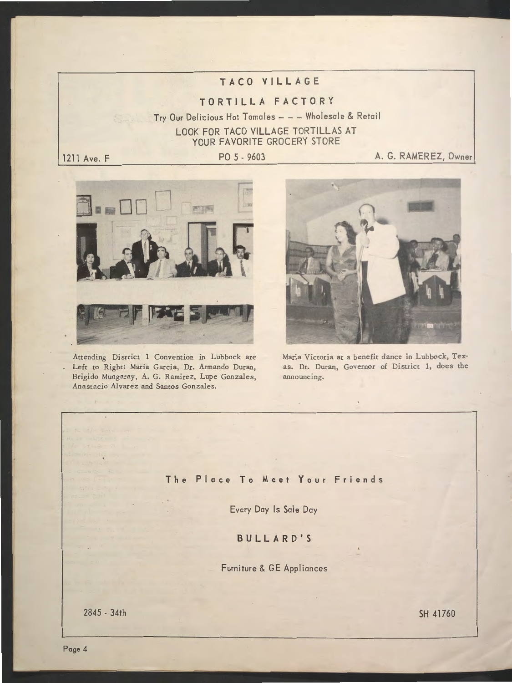## **TACO VILLAGE**

## **TORTILLA FACTORY**

Try Our Delicious Hot Tamales - - - Wholesale & Retail LOOK FOR TACO VILLAGE TORTILLAS AT YOUR FAVORITE GROCERY STORE

1211 Ave. **F PO 5 - 9603** A. G. RAMEREZ, Owner



Attending District 1 Convention in Lubbock are Left to Right: Maria Garcia, Dr. Armando Duran, Brigido Mungaray, A. G. Ramirez, Lupe Gonzales, Anastacio Alvarez and Santos Gonzales.



Maria Victoria at a benefit dance in Lubbock, Texas. Dr. Duran, Governor of District 1, does the announcing.

## **The Place To Meet Your Friends**

Every Doy Is Sale Day

**BULLARD'S** 

Furniture & GE Appliances

2845 - 34th SH 41760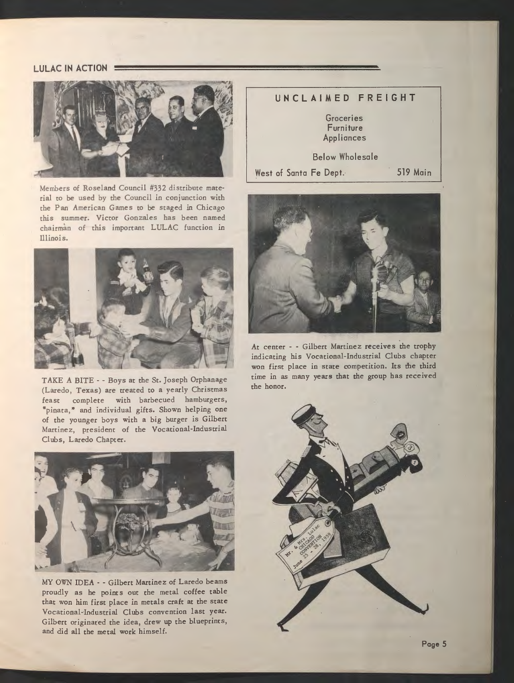### **LULAC IN ACTION**



Members of Roseland Council #332 distribute material to be used by the Council in conjunction with the Pan American Games to be staged in Chicago this summer. Victor Gonzales has been named chairman of this important LULAC function in Illinois.



TAKE A BITE - - Boys at the St. Joseph Orphanage (Laredo, Texas) are treated to a yearly Christmas feast complete with barbecued hamburgers, "pinata," and individual gifts. Shown helping one of the younger boys with a big burger is Gilbert Martinez, president of the Vocational-Industrial Clubs, Laredo Chapter.



MY OWN IDEA - - Gilbert Martinez of Laredo beams proudly as he points out the metal coffee table that won him first place in metals craft at the state Vocational-Industrial Clubs convention last year. Gilbert originated the idea, drew up the blueprints, and did all the metal work himself.





At center - - Gilbert Martinez receives the trophy indicating his Vocational-Industrial Clubs chapter won first place in state competition. Its the third time in as many years that the group has received the honor.

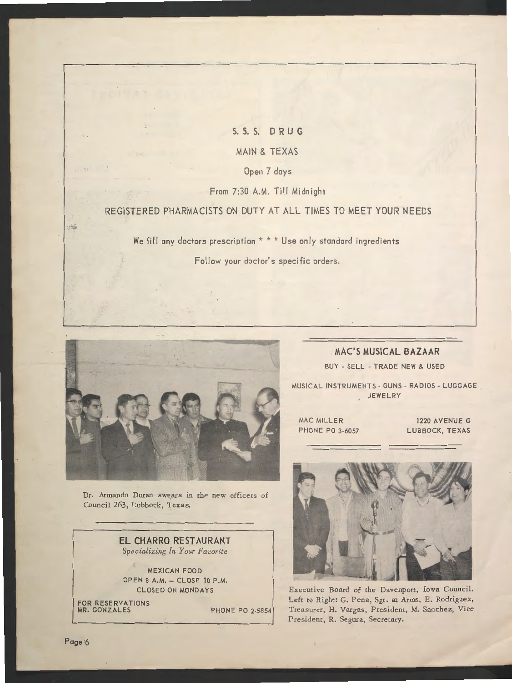## **S. S. S. DRUG**  MAIN & TEXAS Open 7 days

From 7:30 A.M. Till Midnight

## REGISTERED PHARMACISTS ON DUTY AT ALL TIMES TO MEET YOUR NEEDS

We fill any doctors prescription \* \* \* Use only standard ingredients

Follow your doctor's specific orders.



Dr. Armando Duran swears in the new officers of Council 263, Lubbock, Texas.

> **EL CHARRO RESTAURANT**  *Specializing* In *Your Favorite*

MEXICAN FOOD OPEN 8 A.M. - CLOSE 10 P.M. CLOSED ON MONDAYS

FOR RESERVATION MR. GONZALES PHONE PO 2-5854

**MAC'S MUSICAL BAZAAR**  BUY - SELL - TRADE NEW & USED

MUSICAL INSTRUMENTS - GUNS - RADIOS - LUGGAGE JEWELRY

MAC MILLER PHONE PO 3-6057

1220 AVENUE G LUBBOCK, TEXAS



Executive Board of the Davenport, Iowa Council. Left to Right: G. Pena, Sgt. at Arms, E. Rodriguez, Treasurer, H. Vargas, President, M. Sanchez, Vice President, R. Segura, Secretary.

Page 6

 $= -\frac{1}{2}$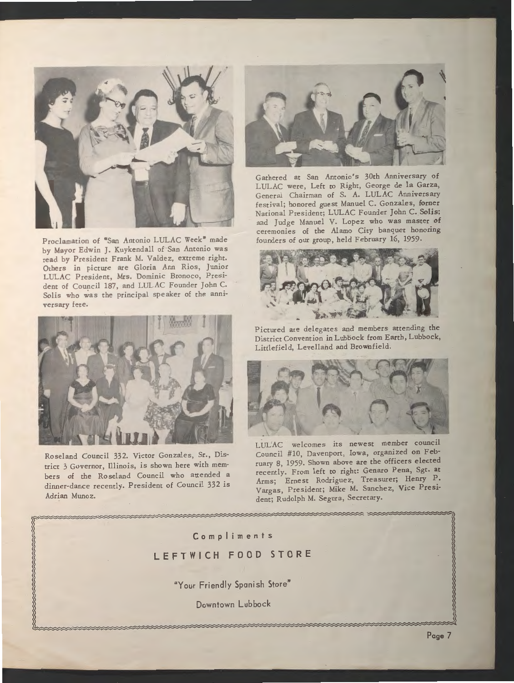

Proclamation of "San Antonio LULAC Week" made by Mayor Edwin J. Kuykendall of San Antonio was read by President Frank M. Valdez, extreme right. Others in picture are Gloria Ann Rios, Junior LULAC President, Mrs. Dominic Bronoco, President of Council 187, and LULAC Founder John C. Solis who was the principal speaker of the anniversary fete.



Roseland Council 332. Victor Gonzales, Sr., District 3 Governor, Illinois, is shown here with members of the Roseland Council who attended a dinner-dance recently. President of Council 332 is Adrian Munoz.



Gathered at San Antonio's 30th Anniversary of LULAC were, Left to Right, George de la Garza, General Chairman of S. A. LULAC Anniversary festival; honored guest Manuel C. Gonzales, forner National President; LULAC Founder John C. Solis; and Judge Manuel V. Lopez who was master of ceremonies of the Alamo City banquet honoring founders of our group, held February 16, 1959.



Pictured are delegates and members attending the District Convention in Lubbock from Earth, Lubbock, Littlefield, Levelland and Brownfield.



LULAC welcomes its newest member council Council #10, Davenport, Iowa, organized on February 8, 1959. Shown above are the officers elected recently. From left to right: Genaro Pena, Sgt. **at**  Arms; Ernest Rodriguez, Treasurer; Henry P. Vargas, President; Mike M. Sanchez, Vice President; Rudolph M. Segura, Secretary.

## **Compliments LEFTWICH FOOD STORE**

"Your Friendly Spanish Store"

Downtown Lubbock